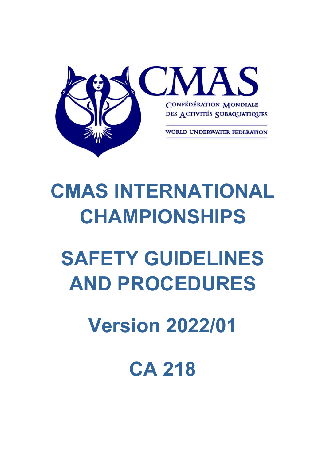

## **CMAS INTERNATIONAL CHAMPIONSHIPS**

# **SAFETY GUIDELINES AND PROCEDURES**

## **Version 2022/01**

**CA 218**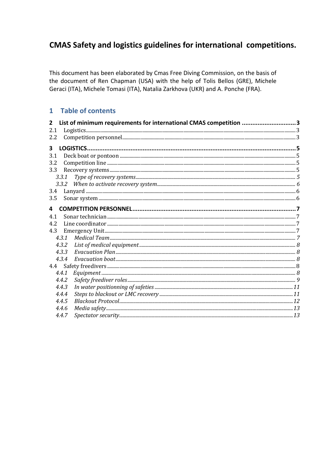### CMAS Safety and logistics guidelines for international competitions.

This document has been elaborated by Cmas Free Diving Commission, on the basis of the document of Ren Chapman (USA) with the help of Tolis Bellos (GRE), Michele Geraci (ITA), Michele Tomasi (ITA), Natalia Zarkhova (UKR) and A. Ponche (FRA).

#### 1 Table of contents

| $\overline{2}$ |       | List of minimum requirements for international CMAS competition 3 |  |
|----------------|-------|-------------------------------------------------------------------|--|
| 2.1            |       | Logistics 3                                                       |  |
| 2.2            |       |                                                                   |  |
| 3              |       |                                                                   |  |
| 3.1            |       |                                                                   |  |
| 3.2            |       |                                                                   |  |
| 3.3            |       |                                                                   |  |
|                | 3.3.1 |                                                                   |  |
|                |       |                                                                   |  |
| 3.4            |       |                                                                   |  |
| 3.5            |       |                                                                   |  |
|                |       |                                                                   |  |
| 4              |       |                                                                   |  |
| 4.1            |       |                                                                   |  |
| 4.2            |       |                                                                   |  |
| 4.3            |       |                                                                   |  |
|                | 4.3.1 |                                                                   |  |
|                | 4.3.2 |                                                                   |  |
|                | 4.3.3 |                                                                   |  |
|                | 4.3.4 |                                                                   |  |
| 4.4            |       |                                                                   |  |
|                | 4.4.1 |                                                                   |  |
|                | 4.4.2 |                                                                   |  |
|                | 4.4.3 |                                                                   |  |
|                | 4.4.4 |                                                                   |  |
|                | 4.4.5 |                                                                   |  |
|                | 4.4.6 |                                                                   |  |
|                | 4.4.7 |                                                                   |  |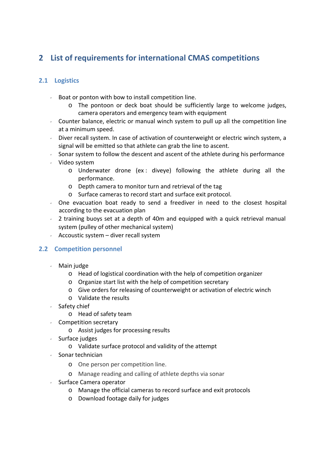## **2 List of requirements for international CMAS competitions**

#### **2.1 Logistics**

- $\sim$  Boat or ponton with bow to install competition line.
	- o The pontoon or deck boat should be sufficiently large to welcome judges, camera operators and emergency team with equipment
- Counter balance, electric or manual winch system to pull up all the competition line at a minimum speed.
- Diver recall system. In case of activation of counterweight or electric winch system, a signal will be emitted so that athlete can grab the line to ascent.
- $\sim$  Sonar system to follow the descent and ascent of the athlete during his performance
- Video system
	- $\circ$  Underwater drone (ex: diveye) following the athlete during all the performance.
	- o Depth camera to monitor turn and retrieval of the tag
	- o Surface cameras to record start and surface exit protocol.
- $\sim$  One evacuation boat ready to send a freediver in need to the closest hospital according to the evacuation plan
- $2$  training buoys set at a depth of 40m and equipped with a quick retrieval manual system (pulley of other mechanical system)
- Accoustic system diver recall system

#### **2.2 Competition personnel**

- Main judge
	- o Head of logistical coordination with the help of competition organizer
	- o Organize start list with the help of competition secretary
	- o Give orders for releasing of counterweight or activation of electric winch
	- o Validate the results
- $\cdot$  Safety chief
	- o Head of safety team
- Competition secretary
	- o Assist judges for processing results
- $\cdot$  Surface judges
	- o Validate surface protocol and validity of the attempt
- $\cdot$  Sonar technician
	- o One person per competition line.
	- o Manage reading and calling of athlete depths via sonar
- $\sqrt{ }$  Surface Camera operator
	- o Manage the official cameras to record surface and exit protocols
	- o Download footage daily for judges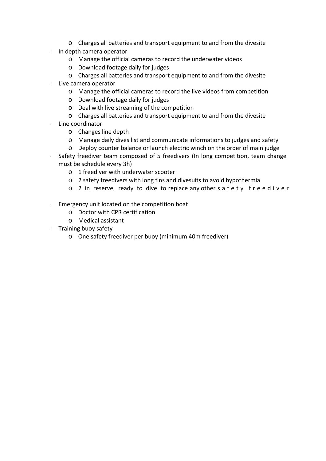- o Charges all batteries and transport equipment to and from the divesite
- $\cdot$  In depth camera operator
	- o Manage the official cameras to record the underwater videos
	- o Download footage daily for judges
	- o Charges all batteries and transport equipment to and from the divesite
- $\cdot$  Live camera operator
	- o Manage the official cameras to record the live videos from competition
	- o Download footage daily for judges
	- o Deal with live streaming of the competition
	- o Charges all batteries and transport equipment to and from the divesite
- $\cdot$  Line coordinator
	- o Changes line depth
	- o Manage daily dives list and communicate informations to judges and safety
	- o Deploy counter balance or launch electric winch on the order of main judge
- $\sim$  Safety freediver team composed of 5 freedivers (In long competition, team change must be schedule every 3h)
	- o 1 freediver with underwater scooter
	- o 2 safety freedivers with long fins and divesuits to avoid hypothermia
	- o 2 in reserve, ready to dive to replace any other s a f e t y f r e e d i v e r
- $\ell$  Emergency unit located on the competition boat
	- o Doctor with CPR certification
	- o Medical assistant
- $\sqrt{ }$  Training buoy safety
	- o One safety freediver per buoy (minimum 40m freediver)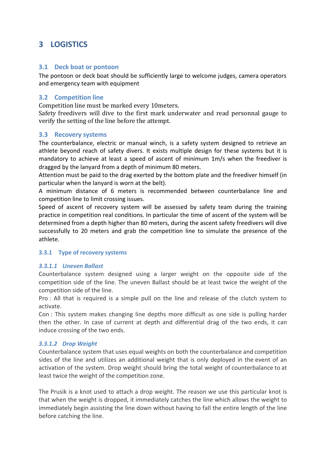### **3 LOGISTICS**

#### **3.1 Deck boat or pontoon**

The pontoon or deck boat should be sufficiently large to welcome judges, camera operators and emergency team with equipment

#### **3.2 Competition line**

Competition line must be marked every 10meters.

Safety freedivers will dive to the first mark underwater and read personnal gauge to verify the setting of the line before the attempt.

#### **3.3 Recovery systems**

The counterbalance, electric or manual winch, is a safety system designed to retrieve an athlete beyond reach of safety divers. It exists multiple design for these systems but it is mandatory to achieve at least a speed of ascent of minimum 1m/s when the freediver is dragged by the lanyard from a depth of minimum 80 meters.

Attention must be paid to the drag exerted by the bottom plate and the freediver himself (in particular when the lanyard is worn at the belt).

A minimum distance of 6 meters is recommended between counterbalance line and competition line to limit crossing issues.

Speed of ascent of recovery system will be assessed by safety team during the training practice in competition real conditions. In particular the time of ascent of the system will be determined from a depth higher than 80 meters, during the ascent safety freedivers will dive successfully to 20 meters and grab the competition line to simulate the presence of the athlete.

#### **3.3.1 Type of recovery systems**

#### *3.3.1.1 Uneven Ballast*

Counterbalance system designed using a larger weight on the opposite side of the competition side of the line. The uneven Ballast should be at least twice the weight of the competition side of the line.

Pro : All that is required is a simple pull on the line and release of the clutch system to activate.

Con : This system makes changing line depths more difficult as one side is pulling harder then the other. In case of current at depth and differential drag of the two ends, it can induce crossing of the two ends.

#### *3.3.1.2 Drop Weight*

Counterbalance system that uses equal weights on both the counterbalance and competition sides of the line and utilizes an additional weight that is only deployed in the event of an activation of the system. Drop weight should bring the total weight of counterbalance to at least twice the weight of the competition zone.

The Prusik is a knot used to attach a drop weight. The reason we use this particular knot is that when the weight is dropped, it immediately catches the line which allows the weight to immediately begin assisting the line down without having to fall the entire length of the line before catching the line.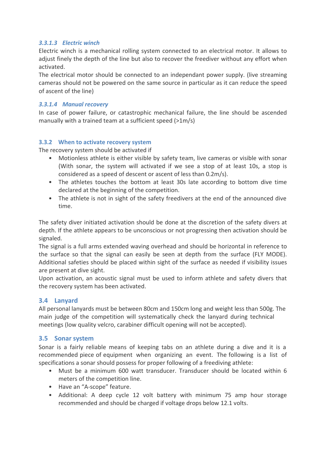#### *3.3.1.3 Electric winch*

Electric winch is a mechanical rolling system connected to an electrical motor. It allows to adjust finely the depth of the line but also to recover the freediver without any effort when activated.

The electrical motor should be connected to an independant power supply. (live streaming cameras should not be powered on the same source in particular as it can reduce the speed of ascent of the line)

#### *3.3.1.4 Manual recovery*

In case of power failure, or catastrophic mechanical failure, the line should be ascended manually with a trained team at a sufficient speed (>1m/s)

#### **3.3.2 When to activate recovery system**

The recovery system should be activated if

- Motionless athlete is either visible by safety team, live cameras or visible with sonar (With sonar, the system will activated if we see a stop of at least 10s, a stop is considered as a speed of descent or ascent of less than 0.2m/s).
- The athletes touches the bottom at least 30s late according to bottom dive time declared at the beginning of the competition.
- The athlete is not in sight of the safety freedivers at the end of the announced dive time.

The safety diver initiated activation should be done at the discretion of the safety divers at depth. If the athlete appears to be unconscious or not progressing then activation should be signaled.

The signal is a full arms extended waving overhead and should be horizontal in reference to the surface so that the signal can easily be seen at depth from the surface (FLY MODE). Additional safeties should be placed within sight of the surface as needed if visibility issues are present at dive sight.

Upon activation, an acoustic signal must be used to inform athlete and safety divers that the recovery system has been activated.

#### **3.4 Lanyard**

All personal lanyards must be between 80cm and 150cm long and weight less than 500g. The main judge of the competition will systematically check the lanyard during technical meetings (low quality velcro, carabiner difficult opening will not be accepted).

#### **3.5 Sonar system**

Sonar is a fairly reliable means of keeping tabs on an athlete during a dive and it is a recommended piece of equipment when organizing an event. The following is a list of specifications a sonar should possess for proper following of a freediving athlete:

- Must be a minimum 600 watt transducer. Transducer should be located within 6 meters of the competition line.
- Have an "A-scope" feature.
- Additional: A deep cycle 12 volt battery with minimum 75 amp hour storage recommended and should be charged if voltage drops below 12.1 volts.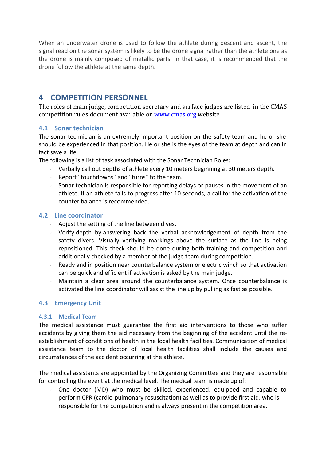When an underwater drone is used to follow the athlete during descent and ascent, the signal read on the sonar system is likely to be the drone signal rather than the athlete one as the drone is mainly composed of metallic parts. In that case, it is recommended that the drone follow the athlete at the same depth.

#### **4 COMPETITION PERSONNEL**

The roles of main judge, competition secretary and surface judges are listed in the CMAS competition rules document available on www.cmas.org website.

#### **4.1 Sonar technician**

The sonar technician is an extremely important position on the safety team and he or she should be experienced in that position. He or she is the eyes of the team at depth and can in fact save a life.

The following is a list of task associated with the Sonar Technician Roles:

- Verbally call out depths of athlete every 10 meters beginning at 30 meters depth.
- Report "touchdowns" and "turns" to the team.
- Sonar technician is responsible for reporting delays or pauses in the movement of an athlete. If an athlete fails to progress after 10 seconds, a call for the activation of the counter balance is recommended.

#### **4.2 Line coordinator**

- $\sim$  Adjust the setting of the line between dives.
- $\vee$  Verify depth by answering back the verbal acknowledgement of depth from the safety divers. Visually verifying markings above the surface as the line is being repositioned. This check should be done during both training and competition and additionally checked by a member of the judge team during competition.
- $\sim$  Ready and in position near counterbalance system or electric winch so that activation can be quick and efficient if activation is asked by the main judge.
- $\sim$  Maintain a clear area around the counterbalance system. Once counterbalance is activated the line coordinator will assist the line up by pulling as fast as possible.

#### **4.3 Emergency Unit**

#### **4.3.1 Medical Team**

The medical assistance must guarantee the first aid interventions to those who suffer accidents by giving them the aid necessary from the beginning of the accident until the re‐ establishment of conditions of health in the local health facilities. Communication of medical assistance team to the doctor of local health facilities shall include the causes and circumstances of the accident occurring at the athlete.

The medical assistants are appointed by the Organizing Committee and they are responsible for controlling the event at the medical level. The medical team is made up of:

 $\sim$  One doctor (MD) who must be skilled, experienced, equipped and capable to perform CPR (cardio‐pulmonary resuscitation) as well as to provide first aid, who is responsible for the competition and is always present in the competition area,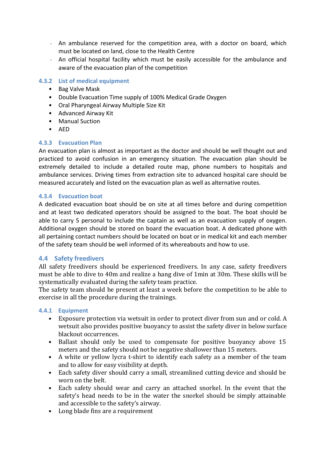- $\sim$  An ambulance reserved for the competition area, with a doctor on board, which must be located on land, close to the Health Centre
- An official hospital facility which must be easily accessible for the ambulance and aware of the evacuation plan of the competition

#### **4.3.2 List of medical equipment**

- Bag Valve Mask
- Double Evacuation Time supply of 100% Medical Grade Oxygen
- Oral Pharyngeal Airway Multiple Size Kit
- Advanced Airway Kit
- Manual Suction
- AED

#### **4.3.3 Evacuation Plan**

An evacuation plan is almost as important as the doctor and should be well thought out and practiced to avoid confusion in an emergency situation. The evacuation plan should be extremely detailed to include a detailed route map, phone numbers to hospitals and ambulance services. Driving times from extraction site to advanced hospital care should be measured accurately and listed on the evacuation plan as well as alternative routes.

#### **4.3.4 Evacuation boat**

A dedicated evacuation boat should be on site at all times before and during competition and at least two dedicated operators should be assigned to the boat. The boat should be able to carry 5 personal to include the captain as well as an evacuation supply of oxygen. Additional oxygen should be stored on board the evacuation boat. A dedicated phone with all pertaining contact numbers should be located on boat or in medical kit and each member of the safety team should be well informed of its whereabouts and how to use.

#### **4.4 Safety freedivers**

All safety freedivers should be experienced freedivers. In any case, safety freedivers must be able to dive to 40m and realize a hang dive of 1min at 30m. These skills will be systematically evaluated during the safety team practice.

The safety team should be present at least a week before the competition to be able to exercise in all the procedure during the trainings.

#### **4.4.1 Equipment**

- Exposure protection via wetsuit in order to protect diver from sun and or cold. A wetsuit also provides positive buoyancy to assist the safety diver in below surface blackout occurrences.
- Ballast should only be used to compensate for positive buoyancy above 15 meters and the safety should not be negative shallower than 15 meters.
- A white or yellow lycra t-shirt to identify each safety as a member of the team and to allow for easy visibility at depth.
- Each safety diver should carry a small, streamlined cutting device and should be worn on the belt.
- Each safety should wear and carry an attached snorkel. In the event that the safety's head needs to be in the water the snorkel should be simply attainable and accessible to the safety's airway.
- Long blade fins are a requirement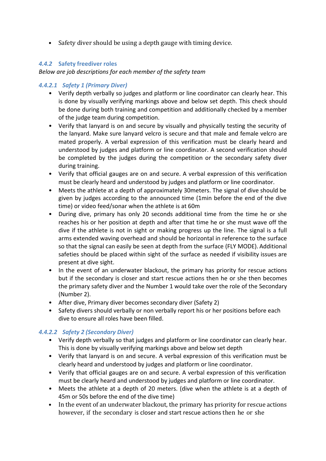• Safety diver should be using a depth gauge with timing device.

#### *4.4.2* **Safety freediver roles**

*Below are job descriptions for each member of the safety team*

#### *4.4.2.1 Safety 1 (Primary Diver)*

- Verify depth verbally so judges and platform or line coordinator can clearly hear. This is done by visually verifying markings above and below set depth. This check should be done during both training and competition and additionally checked by a member of the judge team during competition.
- Verify that lanyard is on and secure by visually and physically testing the security of the lanyard. Make sure lanyard velcro is secure and that male and female velcro are mated properly. A verbal expression of this verification must be clearly heard and understood by judges and platform or line coordinator. A second verification should be completed by the judges during the competition or the secondary safety diver during training.
- Verify that official gauges are on and secure. A verbal expression of this verification must be clearly heard and understood by judges and platform or line coordinator.
- Meets the athlete at a depth of approximately 30meters. The signal of dive should be given by judges according to the announced time (1min before the end of the dive time) or video feed/sonar when the athlete is at 60m
- During dive, primary has only 20 seconds additional time from the time he or she reaches his or her position at depth and after that time he or she must wave off the dive if the athlete is not in sight or making progress up the line. The signal is a full arms extended waving overhead and should be horizontal in reference to the surface so that the signal can easily be seen at depth from the surface (FLY MODE). Additional safeties should be placed within sight of the surface as needed if visibility issues are present at dive sight.
- In the event of an underwater blackout, the primary has priority for rescue actions but if the secondary is closer and start rescue actions then he or she then becomes the primary safety diver and the Number 1 would take over the role of the Secondary (Number 2).
- After dive, Primary diver becomes secondary diver (Safety 2)
- Safety divers should verbally or non verbally report his or her positions before each dive to ensure all roles have been filled.

#### *4.4.2.2 Safety 2 (Secondary Diver)*

- Verify depth verbally so that judges and platform or line coordinator can clearly hear. This is done by visually verifying markings above and below set depth
- Verify that lanyard is on and secure. A verbal expression of this verification must be clearly heard and understood by judges and platform or line coordinator.
- Verify that official gauges are on and secure. A verbal expression of this verification must be clearly heard and understood by judges and platform or line coordinator.
- Meets the athlete at a depth of 20 meters. (dive when the athlete is at a depth of 45m or 50s before the end of the dive time)
- In the event of an underwater blackout, the primary has priority for rescue actions however, if the secondary is closer and start rescue actions then he or she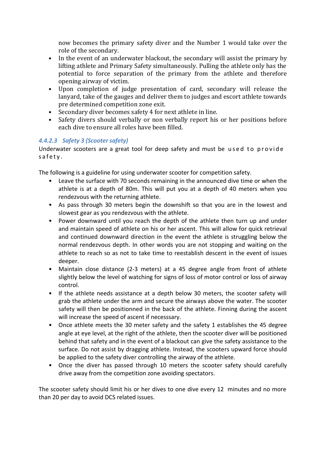now becomes the primary safety diver and the Number 1 would take over the role of the secondary.

- In the event of an underwater blackout, the secondary will assist the primary by lifting athlete and Primary Safety simultaneously. Pulling the athlete only has the potential to force separation of the primary from the athlete and therefore opening airway of victim.
- Upon completion of judge presentation of card, secondary will release the lanyard, take of the gauges and deliver them to judges and escort athlete towards pre determined competition zone exit.
- Secondary diver becomes safety 4 for next athlete in line.
- Safety divers should verbally or non verbally report his or her positions before each dive to ensure all roles have been filled.

#### *4.4.2.3 Safety 3 (Scooter safety)*

Underwater scooters are a great tool for deep safety and must be u s e d t o p r o v i d e safety.

The following is a guideline for using underwater scooter for competition safety.

- Leave the surface with 70 seconds remaining in the announced dive time or when the athlete is at a depth of 80m. This will put you at a depth of 40 meters when you rendezvous with the returning athlete.
- As pass through 30 meters begin the downshift so that you are in the lowest and slowest gear as you rendezvous with the athlete.
- Power downward until you reach the depth of the athlete then turn up and under and maintain speed of athlete on his or her ascent. This will allow for quick retrieval and continued downward direction in the event the athlete is struggling below the normal rendezvous depth. In other words you are not stopping and waiting on the athlete to reach so as not to take time to reestablish descent in the event of issues deeper.
- Maintain close distance (2-3 meters) at a 45 degree angle from front of athlete slightly below the level of watching for signs of loss of motor control or loss of airway control.
- If the athlete needs assistance at a depth below 30 meters, the scooter safety will grab the athlete under the arm and secure the airways above the water. The scooter safety will then be positionned in the back of the athlete. Finning during the ascent will increase the speed of ascent if necesssary.
- Once athlete meets the 30 meter safety and the safety 1 establishes the 45 degree angle at eye level, at the right of the athlete, then the scooter diver will be positioned behind that safety and in the event of a blackout can give the safety assistance to the surface. Do not assist by dragging athlete. Instead, the scooters upward force should be applied to the safety diver controlling the airway of the athlete.
- Once the diver has passed through 10 meters the scooter safety should carefully drive away from the competition zone avoiding spectators.

The scooter safety should limit his or her dives to one dive every 12 minutes and no more than 20 per day to avoid DCS related issues.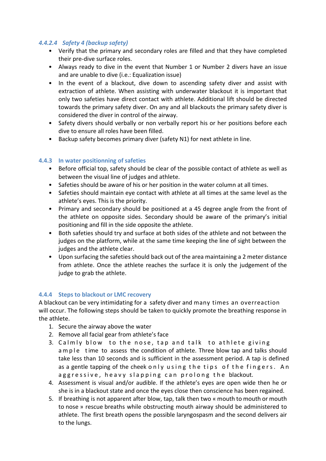#### *4.4.2.4 Safety 4 (backup safety)*

- Verify that the primary and secondary roles are filled and that they have completed their pre‐dive surface roles.
- Always ready to dive in the event that Number 1 or Number 2 divers have an issue and are unable to dive (i.e.: Equalization issue)
- In the event of a blackout, dive down to ascending safety diver and assist with extraction of athlete. When assisting with underwater blackout it is important that only two safeties have direct contact with athlete. Additional lift should be directed towards the primary safety diver. On any and all blackouts the primary safety diver is considered the diver in control of the airway.
- Safety divers should verbally or non verbally report his or her positions before each dive to ensure all roles have been filled.
- Backup safety becomes primary diver (safety N1) for next athlete in line.

#### **4.4.3 In water positionning of safeties**

- Before official top, safety should be clear of the possible contact of athlete as well as between the visual line of judges and athlete.
- Safeties should be aware of his or her position in the water column at all times.
- Safeties should maintain eye contact with athlete at all times at the same level as the athlete's eyes. This is the priority.
- Primary and secondary should be positioned at a 45 degree angle from the front of the athlete on opposite sides. Secondary should be aware of the primary's initial positioning and fill in the side opposite the athlete.
- Both safeties should try and surface at both sides of the athlete and not between the judges on the platform, while at the same time keeping the line of sight between the judges and the athlete clear.
- Upon surfacing the safeties should back out of the area maintaining a 2 meter distance from athlete. Once the athlete reaches the surface it is only the judgement of the judge to grab the athlete.

#### **4.4.4 Steps to blackout or LMC recovery**

A blackout can be very intimidating for a safety diver and many times an overreaction will occur. The following steps should be taken to quickly promote the breathing response in the athlete.

- 1. Secure the airway above the water
- 2. Remove all facial gear from athlete's face
- 3. Calmly blow to the nose, tap and talk to athlete giving a m p l e time to assess the condition of athlete. Three blow tap and talks should take less than 10 seconds and is sufficient in the assessment period. A tap is defined as a gentle tapping of the cheek only using the tips of the fingers. An aggressive, heavy slapping can prolong the blackout.
- 4. Assessment is visual and/or audible. If the athlete's eyes are open wide then he or she is in a blackout state and once the eyes close then conscience has been regained.
- 5. If breathing is not apparent after blow, tap, talk then two « mouth to mouth or mouth to nose » rescue breaths while obstructing mouth airway should be administered to athlete. The first breath opens the possible laryngospasm and the second delivers air to the lungs.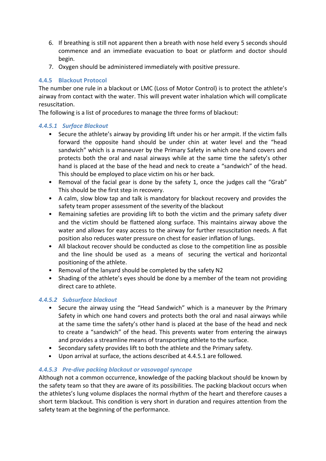- 6. If breathing is still not apparent then a breath with nose held every 5 seconds should commence and an immediate evacuation to boat or platform and doctor should begin.
- 7. Oxygen should be administered immediately with positive pressure.

#### **4.4.5 Blackout Protocol**

The number one rule in a blackout or LMC (Loss of Motor Control) is to protect the athlete's airway from contact with the water. This will prevent water inhalation which will complicate resuscitation.

The following is a list of procedures to manage the three forms of blackout:

#### *4.4.5.1 Surface Blackout*

- Secure the athlete's airway by providing lift under his or her armpit. If the victim falls forward the opposite hand should be under chin at water level and the "head sandwich" which is a maneuver by the Primary Safety in which one hand covers and protects both the oral and nasal airways while at the same time the safety's other hand is placed at the base of the head and neck to create a "sandwich" of the head. This should be employed to place victim on his or her back.
- Removal of the facial gear is done by the safety 1, once the judges call the "Grab" This should be the first step in recovery.
- A calm, slow blow tap and talk is mandatory for blackout recovery and provides the safety team proper assessment of the severity of the blackout
- Remaining safeties are providing lift to both the victim and the primary safety diver and the victim should be flattened along surface. This maintains airway above the water and allows for easy access to the airway for further resuscitation needs. A flat position also reduces water pressure on chest for easier inflation of lungs.
- All blackout recover should be conducted as close to the competition line as possible and the line should be used as a means of securing the vertical and horizontal positioning of the athlete.
- Removal of the lanyard should be completed by the safety N2
- Shading of the athlete's eyes should be done by a member of the team not providing direct care to athlete.

#### *4.4.5.2 Subsurface blackout*

- Secure the airway using the "Head Sandwich" which is a maneuver by the Primary Safety in which one hand covers and protects both the oral and nasal airways while at the same time the safety's other hand is placed at the base of the head and neck to create a "sandwich" of the head. This prevents water from entering the airways and provides a streamline means of transporting athlete to the surface.
- Secondary safety provides lift to both the athlete and the Primary safety.
- Upon arrival at surface, the actions described at 4.4.5.1 are followed.

#### *4.4.5.3 Pre‐dive packing blackout or vasovagal syncope*

Although not a common occurrence, knowledge of the packing blackout should be known by the safety team so that they are aware of its possibilities. The packing blackout occurs when the athletes's lung volume displaces the normal rhythm of the heart and therefore causes a short term blackout. This condition is very short in duration and requires attention from the safety team at the beginning of the performance.